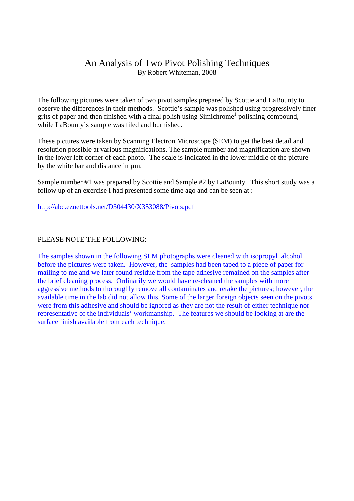## An Analysis of Two Pivot Polishing Techniques By Robert Whiteman, 2008

The following pictures were taken of two pivot samples prepared by Scottie and LaBounty to observe the differences in their methods. Scottie's sample was polished using progressively finer grits of paper and then finished with a final polish using Simichrome<sup>1</sup> polishing compound, while LaBounty's sample was filed and burnished.

These pictures were taken by Scanning Electron Microscope (SEM) to get the best detail and resolution possible at various magnifications. The sample number and magnification are shown in the lower left corner of each photo. The scale is indicated in the lower middle of the picture by the white bar and distance in µm.

Sample number #1 was prepared by Scottie and Sample #2 by LaBounty. This short study was a follow up of an exercise I had presented some time ago and can be seen at :

http://abc.eznettools.net/D304430/X353088/Pivots.pdf

## PLEASE NOTE THE FOLLOWING:

The samples shown in the following SEM photographs were cleaned with isopropyl alcohol before the pictures were taken. However, the samples had been taped to a piece of paper for mailing to me and we later found residue from the tape adhesive remained on the samples after the brief cleaning process. Ordinarily we would have re-cleaned the samples with more aggressive methods to thoroughly remove all contaminates and retake the pictures; however, the available time in the lab did not allow this. Some of the larger foreign objects seen on the pivots were from this adhesive and should be ignored as they are not the result of either technique nor representative of the individuals' workmanship. The features we should be looking at are the surface finish available from each technique.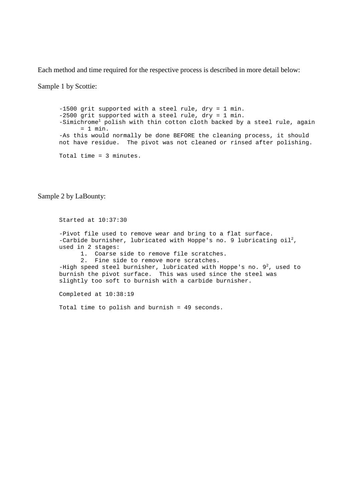Each method and time required for the respective process is described in more detail below:

Sample 1 by Scottie:

-1500 grit supported with a steel rule, dry = 1 min. -2500 grit supported with a steel rule, dry = 1 min. -Simichrome<sup>1</sup> polish with thin cotton cloth backed by a steel rule, again  $= 1$  min. -As this would normally be done BEFORE the cleaning process, it should not have residue. The pivot was not cleaned or rinsed after polishing. Total time = 3 minutes.

Sample 2 by LaBounty:

Started at 10:37:30 -Pivot file used to remove wear and bring to a flat surface. -Carbide burnisher, lubricated with Hoppe's no. 9 lubricating  $\text{oil}^2$ , used in 2 stages: 1. Coarse side to remove file scratches. 2. Fine side to remove more scratches. -High speed steel burnisher, lubricated with Hoppe's no.  $9^2$ , used to burnish the pivot surface. This was used since the steel was slightly too soft to burnish with a carbide burnisher.

Completed at 10:38:19

Total time to polish and burnish = 49 seconds.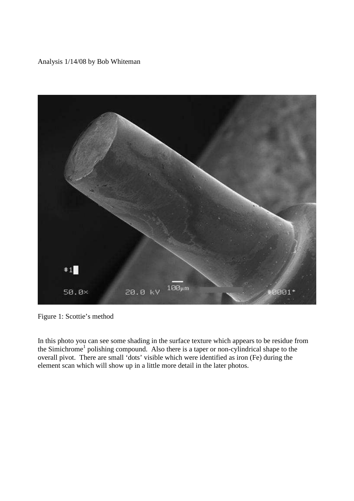Analysis 1/14/08 by Bob Whiteman



Figure 1: Scottie's method

In this photo you can see some shading in the surface texture which appears to be residue from the Simichrome<sup>1</sup> polishing compound. Also there is a taper or non-cylindrical shape to the overall pivot. There are small 'dots' visible which were identified as iron (Fe) during the element scan which will show up in a little more detail in the later photos.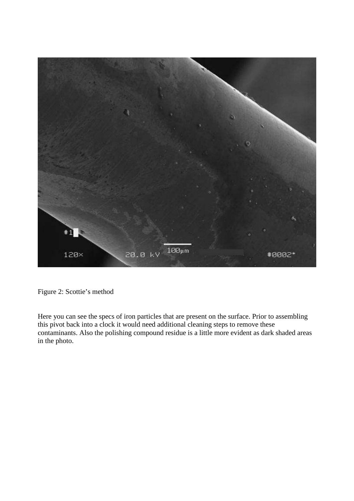

Figure 2: Scottie's method

Here you can see the specs of iron particles that are present on the surface. Prior to assembling this pivot back into a clock it would need additional cleaning steps to remove these contaminants. Also the polishing compound residue is a little more evident as dark shaded areas in the photo.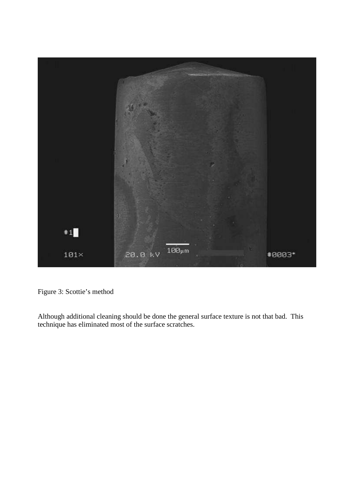

Figure 3: Scottie's method

Although additional cleaning should be done the general surface texture is not that bad. This technique has eliminated most of the surface scratches.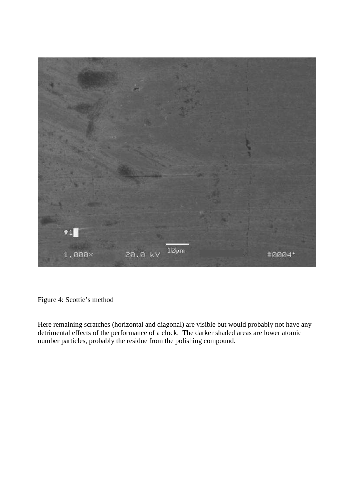

Figure 4: Scottie's method

Here remaining scratches (horizontal and diagonal) are visible but would probably not have any detrimental effects of the performance of a clock. The darker shaded areas are lower atomic number particles, probably the residue from the polishing compound.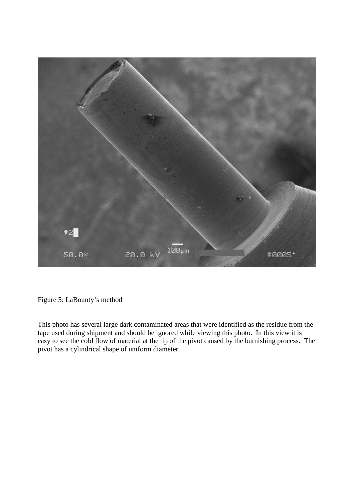

Figure 5: LaBounty's method

This photo has several large dark contaminated areas that were identified as the residue from the tape used during shipment and should be ignored while viewing this photo. In this view it is easy to see the cold flow of material at the tip of the pivot caused by the burnishing process. The pivot has a cylindrical shape of uniform diameter.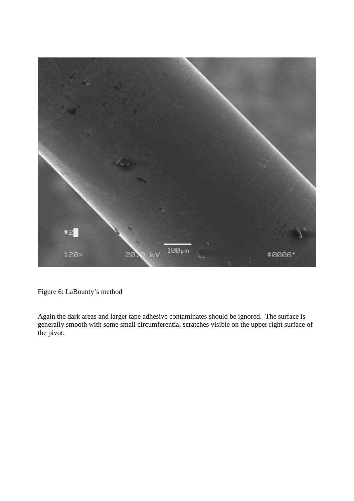

Figure 6: LaBounty's method

Again the dark areas and larger tape adhesive contaminates should be ignored. The surface is generally smooth with some small circumferential scratches visible on the upper right surface of the pivot.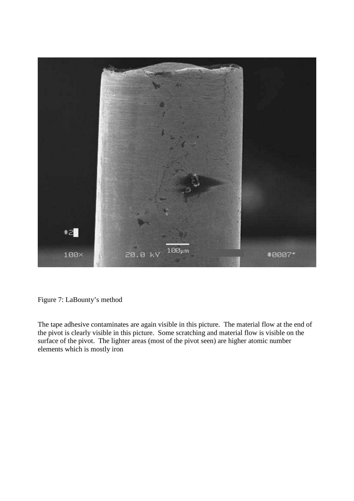

Figure 7: LaBounty's method

The tape adhesive contaminates are again visible in this picture. The material flow at the end of the pivot is clearly visible in this picture. Some scratching and material flow is visible on the surface of the pivot. The lighter areas (most of the pivot seen) are higher atomic number elements which is mostly iron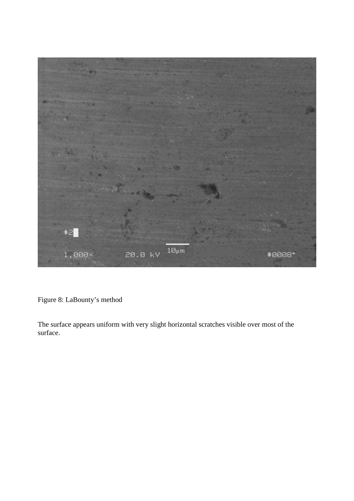

Figure 8: LaBounty's method

The surface appears uniform with very slight horizontal scratches visible over most of the surface.